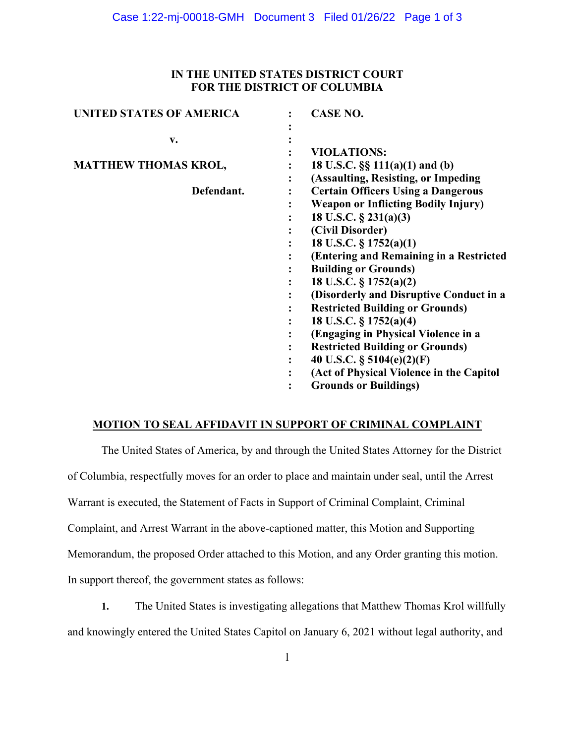## **IN THE UNITED STATES DISTRICT COURT FOR THE DISTRICT OF COLUMBIA**

| <b>UNITED STATES OF AMERICA</b> | <b>CASE NO.</b>                            |
|---------------------------------|--------------------------------------------|
|                                 |                                            |
| v.                              |                                            |
|                                 | <b>VIOLATIONS:</b>                         |
| <b>MATTHEW THOMAS KROL,</b>     | 18 U.S.C. $\S\S 111(a)(1)$ and (b)         |
|                                 | (Assaulting, Resisting, or Impeding        |
| Defendant.                      | <b>Certain Officers Using a Dangerous</b>  |
|                                 | <b>Weapon or Inflicting Bodily Injury)</b> |
|                                 | 18 U.S.C. $\S$ 231(a)(3)                   |
|                                 | (Civil Disorder)                           |
|                                 | 18 U.S.C. $\S 1752(a)(1)$                  |
|                                 | (Entering and Remaining in a Restricted    |
|                                 | <b>Building or Grounds)</b>                |
|                                 | 18 U.S.C. § 1752(a)(2)                     |
|                                 | (Disorderly and Disruptive Conduct in a    |
|                                 | <b>Restricted Building or Grounds)</b>     |
|                                 | 18 U.S.C. $\S 1752(a)(4)$                  |
|                                 | (Engaging in Physical Violence in a        |
|                                 | <b>Restricted Building or Grounds)</b>     |
|                                 | 40 U.S.C. $\S$ 5104(e)(2)(F)               |
|                                 | (Act of Physical Violence in the Capitol   |
|                                 | <b>Grounds or Buildings)</b>               |

# **MOTION TO SEAL AFFIDAVIT IN SUPPORT OF CRIMINAL COMPLAINT**

The United States of America, by and through the United States Attorney for the District of Columbia, respectfully moves for an order to place and maintain under seal, until the Arrest Warrant is executed, the Statement of Facts in Support of Criminal Complaint, Criminal Complaint, and Arrest Warrant in the above-captioned matter, this Motion and Supporting Memorandum, the proposed Order attached to this Motion, and any Order granting this motion. In support thereof, the government states as follows:

**1.** The United States is investigating allegations that Matthew Thomas Krol willfully and knowingly entered the United States Capitol on January 6, 2021 without legal authority, and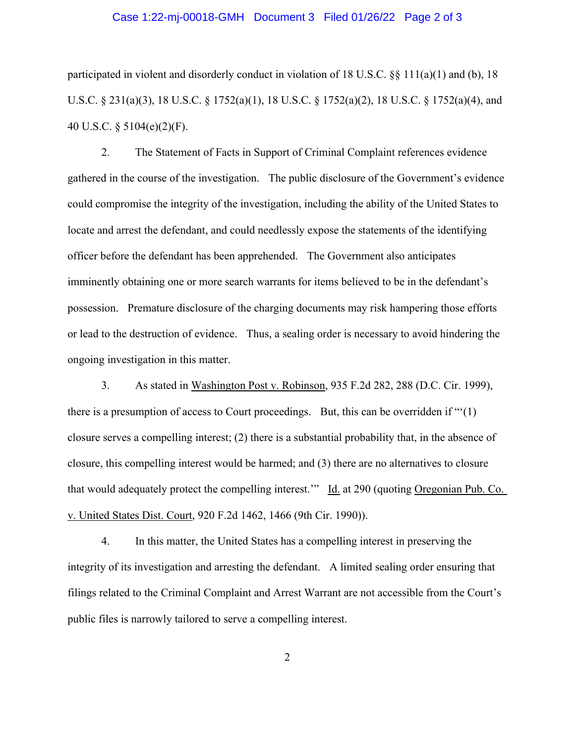#### Case 1:22-mj-00018-GMH Document 3 Filed 01/26/22 Page 2 of 3

participated in violent and disorderly conduct in violation of 18 U.S.C.  $\S$  111(a)(1) and (b), 18 U.S.C. § 231(a)(3), 18 U.S.C. § 1752(a)(1), 18 U.S.C. § 1752(a)(2), 18 U.S.C. § 1752(a)(4), and 40 U.S.C. § 5104(e)(2)(F).

2. The Statement of Facts in Support of Criminal Complaint references evidence gathered in the course of the investigation. The public disclosure of the Government's evidence could compromise the integrity of the investigation, including the ability of the United States to locate and arrest the defendant, and could needlessly expose the statements of the identifying officer before the defendant has been apprehended. The Government also anticipates imminently obtaining one or more search warrants for items believed to be in the defendant's possession. Premature disclosure of the charging documents may risk hampering those efforts or lead to the destruction of evidence. Thus, a sealing order is necessary to avoid hindering the ongoing investigation in this matter.

 3. As stated in Washington Post v. Robinson, 935 F.2d 282, 288 (D.C. Cir. 1999), there is a presumption of access to Court proceedings. But, this can be overridden if "'(1) closure serves a compelling interest; (2) there is a substantial probability that, in the absence of closure, this compelling interest would be harmed; and (3) there are no alternatives to closure that would adequately protect the compelling interest." Id. at 290 (quoting Oregonian Pub. Co. v. United States Dist. Court, 920 F.2d 1462, 1466 (9th Cir. 1990)).

 4. In this matter, the United States has a compelling interest in preserving the integrity of its investigation and arresting the defendant. A limited sealing order ensuring that filings related to the Criminal Complaint and Arrest Warrant are not accessible from the Court's public files is narrowly tailored to serve a compelling interest.

2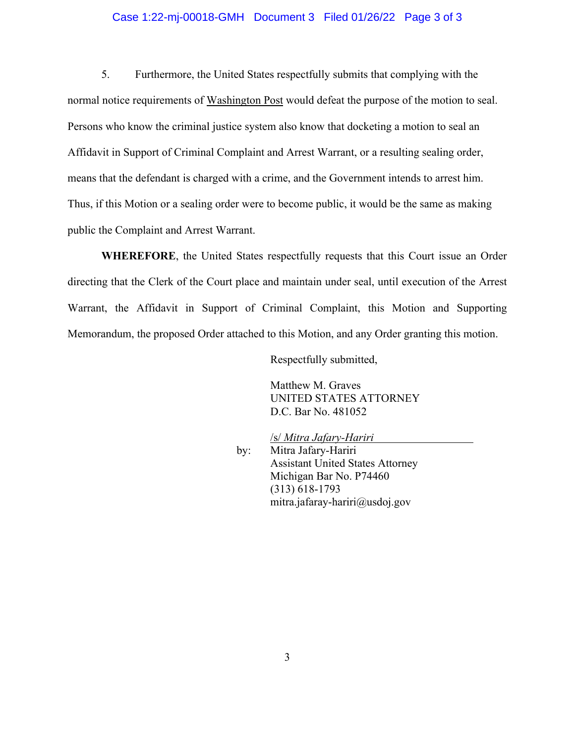#### Case 1:22-mj-00018-GMH Document 3 Filed 01/26/22 Page 3 of 3

 5. Furthermore, the United States respectfully submits that complying with the normal notice requirements of Washington Post would defeat the purpose of the motion to seal. Persons who know the criminal justice system also know that docketing a motion to seal an Affidavit in Support of Criminal Complaint and Arrest Warrant, or a resulting sealing order, means that the defendant is charged with a crime, and the Government intends to arrest him. Thus, if this Motion or a sealing order were to become public, it would be the same as making public the Complaint and Arrest Warrant.

**WHEREFORE**, the United States respectfully requests that this Court issue an Order directing that the Clerk of the Court place and maintain under seal, until execution of the Arrest Warrant, the Affidavit in Support of Criminal Complaint, this Motion and Supporting Memorandum, the proposed Order attached to this Motion, and any Order granting this motion.

Respectfully submitted,

Matthew M. Graves UNITED STATES ATTORNEY D.C. Bar No. 481052

 /s/ *Mitra Jafary-Hariri*  by: Mitra Jafary-Hariri Assistant United States Attorney Michigan Bar No. P74460 (313) 618-1793 mitra.jafaray-hariri@usdoj.gov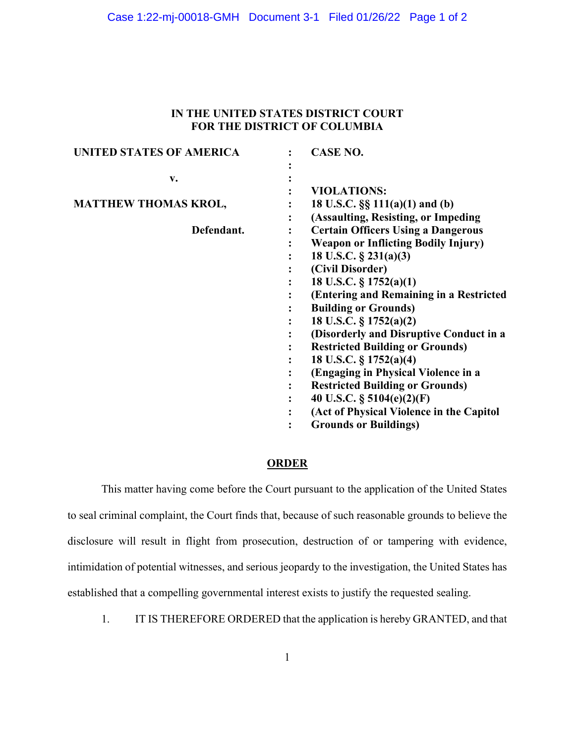#### Case 1:22-mj-00018-GMH Document 3-1 Filed 01/26/22 Page 1 of 2

## **IN THE UNITED STATES DISTRICT COURT FOR THE DISTRICT OF COLUMBIA**

| <b>UNITED STATES OF AMERICA</b> |   | <b>CASE NO.</b>                            |
|---------------------------------|---|--------------------------------------------|
| v.                              |   |                                            |
|                                 |   | <b>VIOLATIONS:</b>                         |
| <b>MATTHEW THOMAS KROL,</b>     |   | 18 U.S.C. §§ 111(a)(1) and (b)             |
|                                 | ٠ | (Assaulting, Resisting, or Impeding)       |
| Defendant.                      |   | <b>Certain Officers Using a Dangerous</b>  |
|                                 |   | <b>Weapon or Inflicting Bodily Injury)</b> |
|                                 |   | 18 U.S.C. $\S$ 231(a)(3)                   |
|                                 |   | (Civil Disorder)                           |
|                                 |   | 18 U.S.C. § 1752(a)(1)                     |
|                                 |   | (Entering and Remaining in a Restricted    |
|                                 |   | <b>Building or Grounds)</b>                |
|                                 |   | 18 U.S.C. § 1752(a)(2)                     |
|                                 |   | (Disorderly and Disruptive Conduct in a    |
|                                 |   | <b>Restricted Building or Grounds)</b>     |
|                                 |   | 18 U.S.C. § 1752(a)(4)                     |
|                                 |   | (Engaging in Physical Violence in a        |
|                                 |   | <b>Restricted Building or Grounds)</b>     |
|                                 | ٠ | 40 U.S.C. $\S$ 5104(e)(2)(F)               |
|                                 |   | (Act of Physical Violence in the Capitol   |
|                                 |   | <b>Grounds or Buildings)</b>               |

#### **ORDER**

This matter having come before the Court pursuant to the application of the United States to seal criminal complaint, the Court finds that, because of such reasonable grounds to believe the disclosure will result in flight from prosecution, destruction of or tampering with evidence, intimidation of potential witnesses, and serious jeopardy to the investigation, the United States has established that a compelling governmental interest exists to justify the requested sealing.

1. IT IS THEREFORE ORDERED that the application is hereby GRANTED, and that